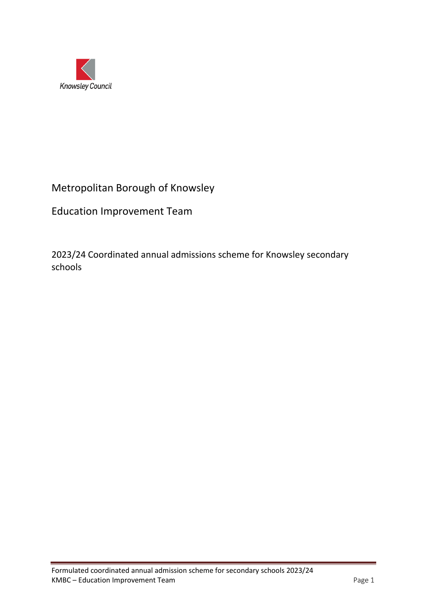

# Metropolitan Borough of Knowsley

Education Improvement Team

2023/24 Coordinated annual admissions scheme for Knowsley secondary schools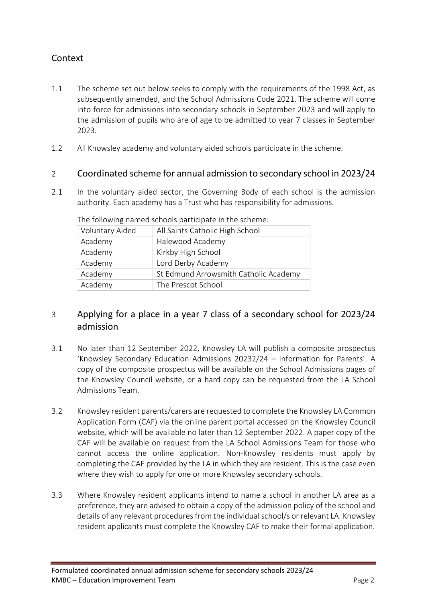# Context

- 1.1 The scheme set out below seeks to comply with the requirements of the 1998 Act, as subsequently amended, and the School Admissions Code 2021. The scheme will come into force for admissions into secondary schools in September 2023 and will apply to the admission of pupils who are of age to be admitted to year 7 classes in September 2023.
- 1.2 All Knowsley academy and voluntary aided schools participate in the scheme.

#### 2 Coordinated scheme for annual admission to secondary school in 2023/24

2.1 In the voluntary aided sector, the Governing Body of each school is the admission authority. Each academy has a Trust who has responsibility for admissions.

| Voluntary Aided | All Saints Catholic High School       |
|-----------------|---------------------------------------|
| Academy         | Halewood Academy                      |
| Academy         | Kirkby High School                    |
| Academy         | Lord Derby Academy                    |
| Academy         | St Edmund Arrowsmith Catholic Academy |
| Academy         | The Prescot School                    |

The following named schools participate in the scheme:

## 3 Applying for a place in a year 7 class of a secondary school for 2023/24 admission

- 3.1 No later than 12 September 2022, Knowsley LA will publish a composite prospectus 'Knowsley Secondary Education Admissions 20232/24 – Information for Parents'. A copy of the composite prospectus will be available on the School Admissions pages of the Knowsley Council website, or a hard copy can be requested from the LA School Admissions Team.
- 3.2 Knowsley resident parents/carers are requested to complete the Knowsley LA Common Application Form (CAF) via the online parent portal accessed on the Knowsley Council website, which will be available no later than 12 September 2022. A paper copy of the CAF will be available on request from the LA School Admissions Team for those who cannot access the online application. Non-Knowsley residents must apply by completing the CAF provided by the LA in which they are resident. This is the case even where they wish to apply for one or more Knowsley secondary schools.
- 3.3 Where Knowsley resident applicants intend to name a school in another LA area as a preference, they are advised to obtain a copy of the admission policy of the school and details of any relevant procedures from the individual school/s or relevant LA. Knowsley resident applicants must complete the Knowsley CAF to make their formal application.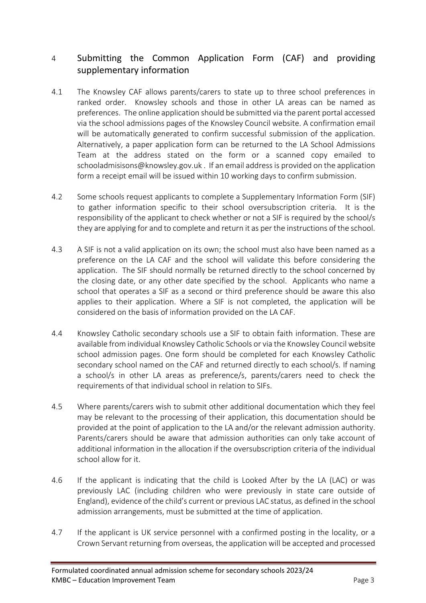# 4 Submitting the Common Application Form (CAF) and providing supplementary information

- 4.1 The Knowsley CAF allows parents/carers to state up to three school preferences in ranked order. Knowsley schools and those in other LA areas can be named as preferences. The online application should be submitted via the parent portal accessed via the school admissions pages of the Knowsley Council website. A confirmation email will be automatically generated to confirm successful submission of the application. Alternatively, a paper application form can be returned to the LA School Admissions Team at the address stated on the form or a scanned copy emailed to [schooladmisisons@knowsley.gov.uk](mailto:schooladmisisons@knowsley.gov.uk) . If an email address is provided on the application form a receipt email will be issued within 10 working days to confirm submission.
- 4.2 Some schools request applicants to complete a Supplementary Information Form (SIF) to gather information specific to their school oversubscription criteria. It is the responsibility of the applicant to check whether or not a SIF is required by the school/s they are applying for and to complete and return it as per the instructions of the school.
- 4.3 A SIF is not a valid application on its own; the school must also have been named as a preference on the LA CAF and the school will validate this before considering the application. The SIF should normally be returned directly to the school concerned by the closing date, or any other date specified by the school. Applicants who name a school that operates a SIF as a second or third preference should be aware this also applies to their application. Where a SIF is not completed, the application will be considered on the basis of information provided on the LA CAF.
- 4.4 Knowsley Catholic secondary schools use a SIF to obtain faith information. These are available from individual Knowsley Catholic Schools or via the Knowsley Council website school admission pages. One form should be completed for each Knowsley Catholic secondary school named on the CAF and returned directly to each school/s. If naming a school/s in other LA areas as preference/s, parents/carers need to check the requirements of that individual school in relation to SIFs.
- 4.5 Where parents/carers wish to submit other additional documentation which they feel may be relevant to the processing of their application, this documentation should be provided at the point of application to the LA and/or the relevant admission authority. Parents/carers should be aware that admission authorities can only take account of additional information in the allocation if the oversubscription criteria of the individual school allow for it.
- 4.6 If the applicant is indicating that the child is Looked After by the LA (LAC) or was previously LAC (including children who were previously in state care outside of England), evidence of the child's current or previous LAC status, as defined in the school admission arrangements, must be submitted at the time of application.
- 4.7 If the applicant is UK service personnel with a confirmed posting in the locality, or a Crown Servant returning from overseas, the application will be accepted and processed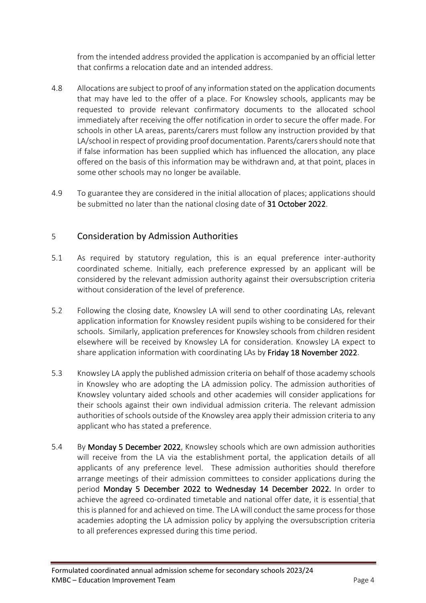from the intended address provided the application is accompanied by an official letter that confirms a relocation date and an intended address.

- 4.8 Allocations are subject to proof of any information stated on the application documents that may have led to the offer of a place. For Knowsley schools, applicants may be requested to provide relevant confirmatory documents to the allocated school immediately after receiving the offer notification in order to secure the offer made. For schools in other LA areas, parents/carers must follow any instruction provided by that LA/school in respect of providing proof documentation. Parents/carers should note that if false information has been supplied which has influenced the allocation, any place offered on the basis of this information may be withdrawn and, at that point, places in some other schools may no longer be available.
- 4.9 To guarantee they are considered in the initial allocation of places; applications should be submitted no later than the national closing date of 31 October 2022.

#### 5 Consideration by Admission Authorities

- 5.1 As required by statutory regulation, this is an equal preference inter-authority coordinated scheme. Initially, each preference expressed by an applicant will be considered by the relevant admission authority against their oversubscription criteria without consideration of the level of preference.
- 5.2 Following the closing date, Knowsley LA will send to other coordinating LAs, relevant application information for Knowsley resident pupils wishing to be considered for their schools. Similarly, application preferences for Knowsley schools from children resident elsewhere will be received by Knowsley LA for consideration. Knowsley LA expect to share application information with coordinating LAs by Friday 18 November 2022.
- 5.3 Knowsley LA apply the published admission criteria on behalf of those academy schools in Knowsley who are adopting the LA admission policy. The admission authorities of Knowsley voluntary aided schools and other academies will consider applications for their schools against their own individual admission criteria. The relevant admission authorities of schools outside of the Knowsley area apply their admission criteria to any applicant who has stated a preference.
- 5.4 By Monday 5 December 2022, Knowsley schools which are own admission authorities will receive from the LA via the establishment portal, the application details of all applicants of any preference level. These admission authorities should therefore arrange meetings of their admission committees to consider applications during the period Monday 5 December 2022 to Wednesday 14 December 2022. In order to achieve the agreed co-ordinated timetable and national offer date, it is essential that this is planned for and achieved on time. The LA will conduct the same process for those academies adopting the LA admission policy by applying the oversubscription criteria to all preferences expressed during this time period.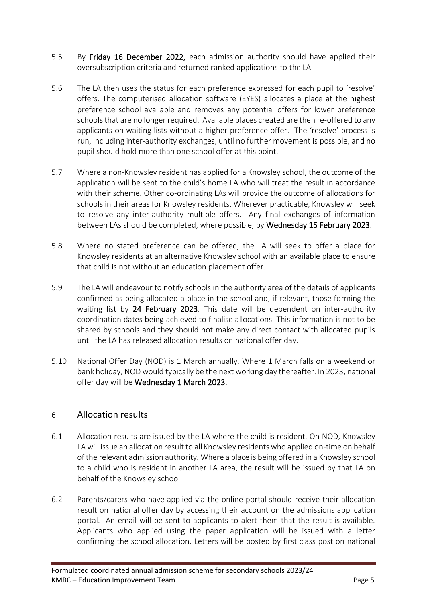- 5.5 By Friday 16 December 2022, each admission authority should have applied their oversubscription criteria and returned ranked applications to the LA.
- 5.6 The LA then uses the status for each preference expressed for each pupil to 'resolve' offers. The computerised allocation software (EYES) allocates a place at the highest preference school available and removes any potential offers for lower preference schools that are no longer required. Available places created are then re-offered to any applicants on waiting lists without a higher preference offer. The 'resolve' process is run, including inter-authority exchanges, until no further movement is possible, and no pupil should hold more than one school offer at this point.
- 5.7 Where a non-Knowsley resident has applied for a Knowsley school, the outcome of the application will be sent to the child's home LA who will treat the result in accordance with their scheme. Other co-ordinating LAs will provide the outcome of allocations for schools in their areas for Knowsley residents. Wherever practicable, Knowsley will seek to resolve any inter-authority multiple offers. Any final exchanges of information between LAs should be completed, where possible, by Wednesday 15 February 2023.
- 5.8 Where no stated preference can be offered, the LA will seek to offer a place for Knowsley residents at an alternative Knowsley school with an available place to ensure that child is not without an education placement offer.
- 5.9 The LA will endeavour to notify schools in the authority area of the details of applicants confirmed as being allocated a place in the school and, if relevant, those forming the waiting list by 24 February 2023. This date will be dependent on inter-authority coordination dates being achieved to finalise allocations. This information is not to be shared by schools and they should not make any direct contact with allocated pupils until the LA has released allocation results on national offer day.
- 5.10 National Offer Day (NOD) is 1 March annually. Where 1 March falls on a weekend or bank holiday, NOD would typically be the next working day thereafter. In 2023, national offer day will be Wednesday 1 March 2023.

#### 6 Allocation results

- 6.1 Allocation results are issued by the LA where the child is resident. On NOD, Knowsley LA will issue an allocation result to all Knowsley residents who applied on-time on behalf of the relevant admission authority. Where a place is being offered in a Knowsley school to a child who is resident in another LA area, the result will be issued by that LA on behalf of the Knowsley school.
- 6.2 Parents/carers who have applied via the online portal should receive their allocation result on national offer day by accessing their account on the admissions application portal. An email will be sent to applicants to alert them that the result is available. Applicants who applied using the paper application will be issued with a letter confirming the school allocation. Letters will be posted by first class post on national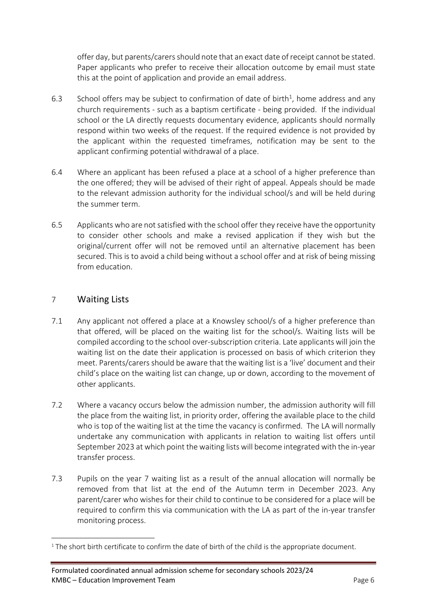offer day, but parents/carers should note that an exact date of receipt cannot be stated. Paper applicants who prefer to receive their allocation outcome by email must state this at the point of application and provide an email address.

- 6.3 School offers may be subject to confirmation of date of birth<sup>1</sup>, home address and any church requirements - such as a baptism certificate - being provided. If the individual school or the LA directly requests documentary evidence, applicants should normally respond within two weeks of the request. If the required evidence is not provided by the applicant within the requested timeframes, notification may be sent to the applicant confirming potential withdrawal of a place.
- 6.4 Where an applicant has been refused a place at a school of a higher preference than the one offered; they will be advised of their right of appeal. Appeals should be made to the relevant admission authority for the individual school/s and will be held during the summer term.
- 6.5 Applicants who are not satisfied with the school offer they receive have the opportunity to consider other schools and make a revised application if they wish but the original/current offer will not be removed until an alternative placement has been secured. This is to avoid a child being without a school offer and at risk of being missing from education.

#### 7 Waiting Lists

- 7.1 Any applicant not offered a place at a Knowsley school/s of a higher preference than that offered, will be placed on the waiting list for the school/s. Waiting lists will be compiled according to the school over-subscription criteria. Late applicants will join the waiting list on the date their application is processed on basis of which criterion they meet. Parents/carers should be aware that the waiting list is a 'live' document and their child's place on the waiting list can change, up or down, according to the movement of other applicants.
- 7.2 Where a vacancy occurs below the admission number, the admission authority will fill the place from the waiting list, in priority order, offering the available place to the child who is top of the waiting list at the time the vacancy is confirmed. The LA will normally undertake any communication with applicants in relation to waiting list offers until September 2023 at which point the waiting lists will become integrated with the in-year transfer process.
- 7.3 Pupils on the year 7 waiting list as a result of the annual allocation will normally be removed from that list at the end of the Autumn term in December 2023. Any parent/carer who wishes for their child to continue to be considered for a place will be required to confirm this via communication with the LA as part of the in-year transfer monitoring process.

<sup>&</sup>lt;sup>1</sup> The short birth certificate to confirm the date of birth of the child is the appropriate document.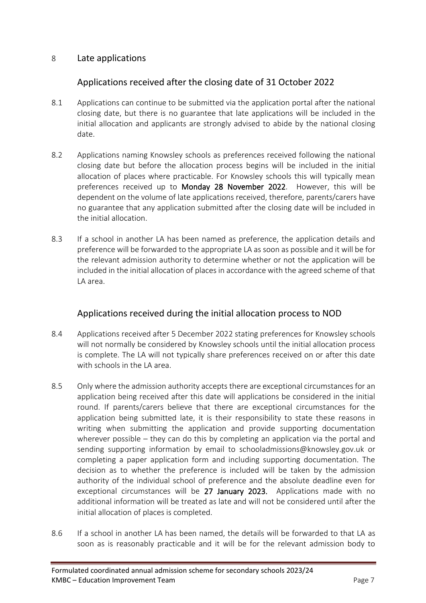#### 8 Late applications

## Applications received after the closing date of 31 October 2022

- 8.1 Applications can continue to be submitted via the application portal after the national closing date, but there is no guarantee that late applications will be included in the initial allocation and applicants are strongly advised to abide by the national closing date.
- 8.2 Applications naming Knowsley schools as preferences received following the national closing date but before the allocation process begins will be included in the initial allocation of places where practicable. For Knowsley schools this will typically mean preferences received up to Monday 28 November 2022. However, this will be dependent on the volume of late applications received, therefore, parents/carers have no guarantee that any application submitted after the closing date will be included in the initial allocation.
- 8.3 If a school in another LA has been named as preference, the application details and preference will be forwarded to the appropriate LA as soon as possible and it will be for the relevant admission authority to determine whether or not the application will be included in the initial allocation of places in accordance with the agreed scheme of that LA area.

## Applications received during the initial allocation process to NOD

- 8.4 Applications received after 5 December 2022 stating preferences for Knowsley schools will not normally be considered by Knowsley schools until the initial allocation process is complete. The LA will not typically share preferences received on or after this date with schools in the LA area.
- 8.5 Only where the admission authority accepts there are exceptional circumstances for an application being received after this date will applications be considered in the initial round. If parents/carers believe that there are exceptional circumstances for the application being submitted late, it is their responsibility to state these reasons in writing when submitting the application and provide supporting documentation wherever possible – they can do this by completing an application via the portal and sending supporting information by email to [schooladmissions@knowsley.gov.uk](mailto:schooladmissions@knowsley.gov.uk) or completing a paper application form and including supporting documentation. The decision as to whether the preference is included will be taken by the admission authority of the individual school of preference and the absolute deadline even for exceptional circumstances will be 27 January 2023. Applications made with no additional information will be treated as late and will not be considered until after the initial allocation of places is completed.
- 8.6 If a school in another LA has been named, the details will be forwarded to that LA as soon as is reasonably practicable and it will be for the relevant admission body to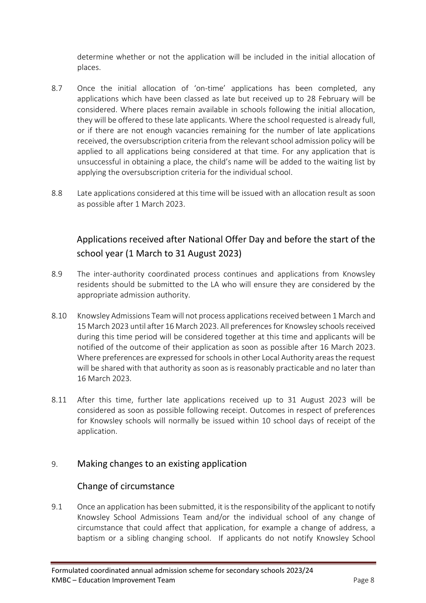determine whether or not the application will be included in the initial allocation of places.

- 8.7 Once the initial allocation of 'on-time' applications has been completed, any applications which have been classed as late but received up to 28 February will be considered. Where places remain available in schools following the initial allocation, they will be offered to these late applicants. Where the school requested is already full, or if there are not enough vacancies remaining for the number of late applications received, the oversubscription criteria from the relevant school admission policy will be applied to all applications being considered at that time. For any application that is unsuccessful in obtaining a place, the child's name will be added to the waiting list by applying the oversubscription criteria for the individual school.
- 8.8 Late applications considered at this time will be issued with an allocation result as soon as possible after 1 March 2023.

# Applications received after National Offer Day and before the start of the school year (1 March to 31 August 2023)

- 8.9 The inter-authority coordinated process continues and applications from Knowsley residents should be submitted to the LA who will ensure they are considered by the appropriate admission authority.
- 8.10 Knowsley Admissions Team will not process applications received between 1 March and 15 March 2023 until after 16 March 2023. All preferencesfor Knowsley schoolsreceived during this time period will be considered together at this time and applicants will be notified of the outcome of their application as soon as possible after 16 March 2023. Where preferences are expressed for schools in other Local Authority areas the request will be shared with that authority as soon as is reasonably practicable and no later than 16 March 2023.
- 8.11 After this time, further late applications received up to 31 August 2023 will be considered as soon as possible following receipt. Outcomes in respect of preferences for Knowsley schools will normally be issued within 10 school days of receipt of the application.

## 9. Making changes to an existing application

# Change of circumstance

9.1 Once an application has been submitted, it is the responsibility of the applicant to notify Knowsley School Admissions Team and/or the individual school of any change of circumstance that could affect that application, for example a change of address, a baptism or a sibling changing school. If applicants do not notify Knowsley School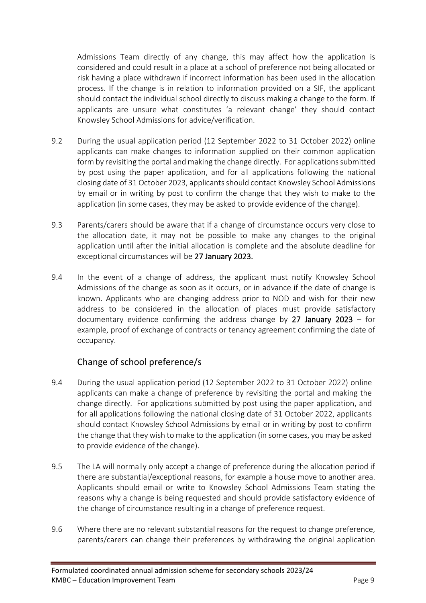Admissions Team directly of any change, this may affect how the application is considered and could result in a place at a school of preference not being allocated or risk having a place withdrawn if incorrect information has been used in the allocation process. If the change is in relation to information provided on a SIF, the applicant should contact the individual school directly to discuss making a change to the form. If applicants are unsure what constitutes 'a relevant change' they should contact Knowsley School Admissions for advice/verification.

- 9.2 During the usual application period (12 September 2022 to 31 October 2022) online applicants can make changes to information supplied on their common application form by revisiting the portal and making the change directly. For applications submitted by post using the paper application, and for all applications following the national closing date of 31 October 2023, applicants should contact Knowsley School Admissions by email or in writing by post to confirm the change that they wish to make to the application (in some cases, they may be asked to provide evidence of the change).
- 9.3 Parents/carers should be aware that if a change of circumstance occurs very close to the allocation date, it may not be possible to make any changes to the original application until after the initial allocation is complete and the absolute deadline for exceptional circumstances will be 27 January 2023.
- 9.4 In the event of a change of address, the applicant must notify Knowsley School Admissions of the change as soon as it occurs, or in advance if the date of change is known. Applicants who are changing address prior to NOD and wish for their new address to be considered in the allocation of places must provide satisfactory documentary evidence confirming the address change by 27 January 2023 – for example, proof of exchange of contracts or tenancy agreement confirming the date of occupancy.

# Change of school preference/s

- 9.4 During the usual application period (12 September 2022 to 31 October 2022) online applicants can make a change of preference by revisiting the portal and making the change directly. For applications submitted by post using the paper application, and for all applications following the national closing date of 31 October 2022, applicants should contact Knowsley School Admissions by email or in writing by post to confirm the change that they wish to make to the application (in some cases, you may be asked to provide evidence of the change).
- 9.5 The LA will normally only accept a change of preference during the allocation period if there are substantial/exceptional reasons, for example a house move to another area. Applicants should email or write to Knowsley School Admissions Team stating the reasons why a change is being requested and should provide satisfactory evidence of the change of circumstance resulting in a change of preference request.
- 9.6 Where there are no relevant substantial reasons for the request to change preference, parents/carers can change their preferences by withdrawing the original application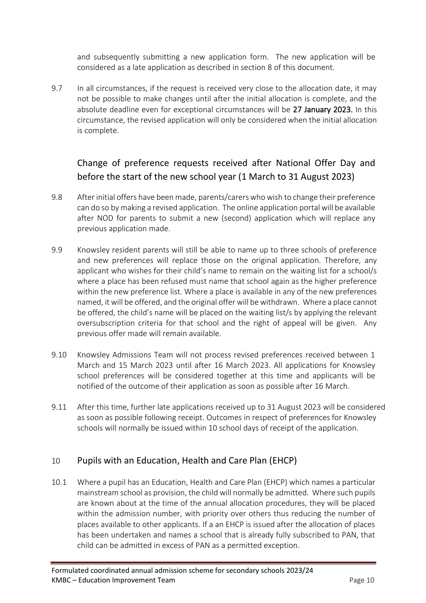and subsequently submitting a new application form. The new application will be considered as a late application as described in section 8 of this document.

9.7 In all circumstances, if the request is received very close to the allocation date, it may not be possible to make changes until after the initial allocation is complete, and the absolute deadline even for exceptional circumstances will be 27 January 2023. In this circumstance, the revised application will only be considered when the initial allocation is complete.

# Change of preference requests received after National Offer Day and before the start of the new school year (1 March to 31 August 2023)

- 9.8 After initial offers have been made, parents/carers who wish to change their preference can do so by making a revised application. The online application portal will be available after NOD for parents to submit a new (second) application which will replace any previous application made.
- 9.9 Knowsley resident parents will still be able to name up to three schools of preference and new preferences will replace those on the original application. Therefore, any applicant who wishes for their child's name to remain on the waiting list for a school/s where a place has been refused must name that school again as the higher preference within the new preference list. Where a place is available in any of the new preferences named, it will be offered, and the original offer will be withdrawn. Where a place cannot be offered, the child's name will be placed on the waiting list/s by applying the relevant oversubscription criteria for that school and the right of appeal will be given. Any previous offer made will remain available.
- 9.10 Knowsley Admissions Team will not process revised preferences received between 1 March and 15 March 2023 until after 16 March 2023. All applications for Knowsley school preferences will be considered together at this time and applicants will be notified of the outcome of their application as soon as possible after 16 March.
- 9.11 After this time, further late applications received up to 31 August 2023 will be considered as soon as possible following receipt. Outcomes in respect of preferences for Knowsley schools will normally be issued within 10 school days of receipt of the application.

## 10 Pupils with an Education, Health and Care Plan (EHCP)

10.1 Where a pupil has an Education, Health and Care Plan (EHCP) which names a particular mainstream school as provision, the child will normally be admitted. Where such pupils are known about at the time of the annual allocation procedures, they will be placed within the admission number, with priority over others thus reducing the number of places available to other applicants. If a an EHCP is issued after the allocation of places has been undertaken and names a school that is already fully subscribed to PAN, that child can be admitted in excess of PAN as a permitted exception.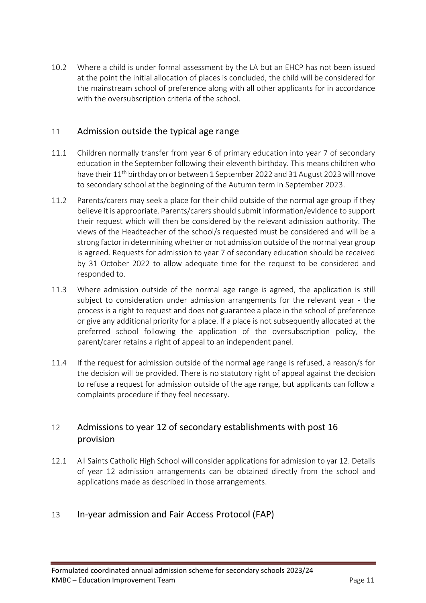10.2 Where a child is under formal assessment by the LA but an EHCP has not been issued at the point the initial allocation of places is concluded, the child will be considered for the mainstream school of preference along with all other applicants for in accordance with the oversubscription criteria of the school.

#### 11 Admission outside the typical age range

- 11.1 Children normally transfer from year 6 of primary education into year 7 of secondary education in the September following their eleventh birthday. This means children who have their 11<sup>th</sup> birthday on or between 1 September 2022 and 31 August 2023 will move to secondary school at the beginning of the Autumn term in September 2023.
- 11.2 Parents/carers may seek a place for their child outside of the normal age group if they believe it is appropriate. Parents/carers should submit information/evidence to support their request which will then be considered by the relevant admission authority. The views of the Headteacher of the school/s requested must be considered and will be a strong factor in determining whether or not admission outside of the normal year group is agreed. Requests for admission to year 7 of secondary education should be received by 31 October 2022 to allow adequate time for the request to be considered and responded to.
- 11.3 Where admission outside of the normal age range is agreed, the application is still subject to consideration under admission arrangements for the relevant year - the process is a right to request and does not guarantee a place in the school of preference or give any additional priority for a place. If a place is not subsequently allocated at the preferred school following the application of the oversubscription policy, the parent/carer retains a right of appeal to an independent panel.
- 11.4 If the request for admission outside of the normal age range is refused, a reason/s for the decision will be provided. There is no statutory right of appeal against the decision to refuse a request for admission outside of the age range, but applicants can follow a complaints procedure if they feel necessary.

# 12 Admissions to year 12 of secondary establishments with post 16 provision

12.1 All Saints Catholic High School will consider applications for admission to yar 12. Details of year 12 admission arrangements can be obtained directly from the school and applications made as described in those arrangements.

#### 13 In-year admission and Fair Access Protocol (FAP)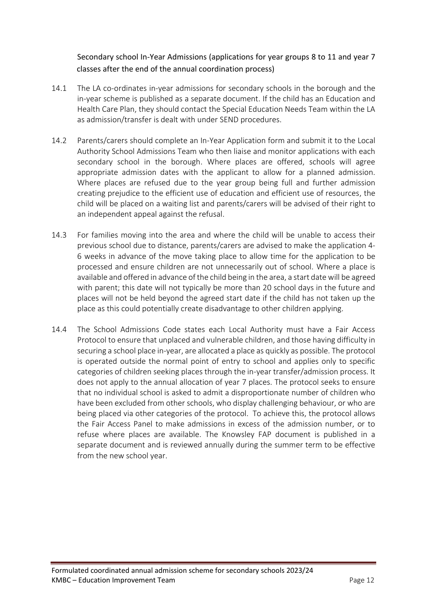#### Secondary school In-Year Admissions (applications for year groups 8 to 11 and year 7 classes after the end of the annual coordination process)

- 14.1 The LA co-ordinates in-year admissions for secondary schools in the borough and the in-year scheme is published as a separate document. If the child has an Education and Health Care Plan, they should contact the Special Education Needs Team within the LA as admission/transfer is dealt with under SEND procedures.
- 14.2 Parents/carers should complete an In-Year Application form and submit it to the Local Authority School Admissions Team who then liaise and monitor applications with each secondary school in the borough. Where places are offered, schools will agree appropriate admission dates with the applicant to allow for a planned admission. Where places are refused due to the year group being full and further admission creating prejudice to the efficient use of education and efficient use of resources, the child will be placed on a waiting list and parents/carers will be advised of their right to an independent appeal against the refusal.
- 14.3 For families moving into the area and where the child will be unable to access their previous school due to distance, parents/carers are advised to make the application 4- 6 weeks in advance of the move taking place to allow time for the application to be processed and ensure children are not unnecessarily out of school. Where a place is available and offered in advance of the child being in the area, a start date will be agreed with parent; this date will not typically be more than 20 school days in the future and places will not be held beyond the agreed start date if the child has not taken up the place as this could potentially create disadvantage to other children applying.
- 14.4 The School Admissions Code states each Local Authority must have a Fair Access Protocol to ensure that unplaced and vulnerable children, and those having difficulty in securing a school place in-year, are allocated a place as quickly as possible. The protocol is operated outside the normal point of entry to school and applies only to specific categories of children seeking places through the in-year transfer/admission process. It does not apply to the annual allocation of year 7 places. The protocol seeks to ensure that no individual school is asked to admit a disproportionate number of children who have been excluded from other schools, who display challenging behaviour, or who are being placed via other categories of the protocol. To achieve this, the protocol allows the Fair Access Panel to make admissions in excess of the admission number, or to refuse where places are available. The Knowsley FAP document is published in a separate document and is reviewed annually during the summer term to be effective from the new school year.